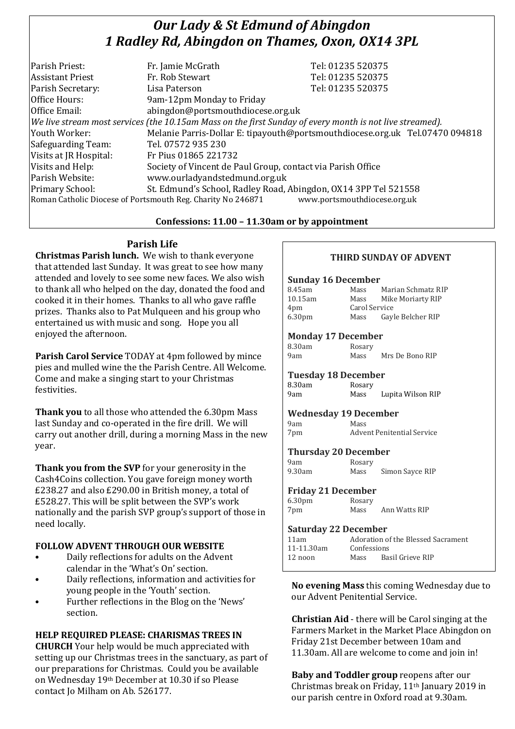## *Our Lady & St Edmund of Abingdon 1 Radley Rd, Abingdon on Thames, Oxon, OX14 3PL*

| Parish Priest:          |                                                                                                          |                                                                              |  |
|-------------------------|----------------------------------------------------------------------------------------------------------|------------------------------------------------------------------------------|--|
|                         | Fr. Jamie McGrath                                                                                        | Tel: 01235 520375                                                            |  |
| <b>Assistant Priest</b> | Fr. Rob Stewart                                                                                          | Tel: 01235 520375                                                            |  |
| Parish Secretary:       | Lisa Paterson                                                                                            | Tel: 01235 520375                                                            |  |
| Office Hours:           | 9am-12pm Monday to Friday                                                                                |                                                                              |  |
| Office Email:           | abingdon@portsmouthdiocese.org.uk                                                                        |                                                                              |  |
|                         | We live stream most services (the 10.15am Mass on the first Sunday of every month is not live streamed). |                                                                              |  |
| Youth Worker:           |                                                                                                          | Melanie Parris-Dollar E: tipayouth@portsmouthdiocese.org.uk Tel.07470 094818 |  |
| Safeguarding Team:      | Tel. 07572 935 230                                                                                       |                                                                              |  |
| Visits at JR Hospital:  | Fr Pius 01865 221732                                                                                     |                                                                              |  |
| Visits and Help:        | Society of Vincent de Paul Group, contact via Parish Office                                              |                                                                              |  |
| Parish Website:         | www.ourladyandstedmund.org.uk                                                                            |                                                                              |  |
| Primary School:         | St. Edmund's School, Radley Road, Abingdon, OX14 3PP Tel 521558                                          |                                                                              |  |
|                         | Roman Catholic Diocese of Portsmouth Reg. Charity No 246871                                              | www.portsmouthdiocese.org.uk                                                 |  |

#### **Confessions: 11.00 – 11.30am or by appointment**

## **Parish Life**

**Christmas Parish lunch.** We wish to thank everyone that attended last Sunday. It was great to see how many attended and lovely to see some new faces. We also wish to thank all who helped on the day, donated the food and cooked it in their homes. Thanks to all who gave raffle prizes. Thanks also to Pat Mulqueen and his group who entertained us with music and song. Hope you all enjoyed the afternoon.

**Parish Carol Service** TODAY at 4pm followed by mince pies and mulled wine the the Parish Centre. All Welcome. Come and make a singing start to your Christmas festivities.

**Thank you** to all those who attended the 6.30pm Mass last Sunday and co-operated in the fire drill. We will carry out another drill, during a morning Mass in the new year.

**Thank you from the SVP** for your generosity in the Cash4Coins collection. You gave foreign money worth £238.27 and also £290.00 in British money, a total of £528.27. This will be split between the SVP's work nationally and the parish SVP group's support of those in need locally.

#### **FOLLOW ADVENT THROUGH OUR WEBSITE**

- Daily reflections for adults on the Advent calendar in the 'What's On' section.
- Daily reflections, information and activities for young people in the 'Youth' section.
- Further reflections in the Blog on the 'News' section.

## **HELP REQUIRED PLEASE: CHARISMAS TREES IN**

**CHURCH** Your help would be much appreciated with setting up our Christmas trees in the sanctuary, as part of our preparations for Christmas. Could you be available on Wednesday 19th December at 10.30 if so Please contact Jo Milham on Ab. 526177.

## **THIRD SUNDAY OF ADVENT**

#### **Sunday 16 December**

| 8.45am             | Mass          | Marian Schmatz RIP |
|--------------------|---------------|--------------------|
| 10.15am            | Mass          | Mike Moriarty RIP  |
| 4pm                | Carol Service |                    |
| 6.30 <sub>pm</sub> | Mass          | Gayle Belcher RIP  |

#### **Monday 17 December**

| 8.30am | Rosary |                 |  |
|--------|--------|-----------------|--|
| 9am    | Mass   | Mrs De Bono RIP |  |

#### **Tuesday 18 December**

8.30am Rosary<br>9am Mass Mass Lupita Wilson RIP

|  |  |  | <b>Wednesday 19 December</b> |
|--|--|--|------------------------------|
|--|--|--|------------------------------|

| 9am | Mass                              |
|-----|-----------------------------------|
| 7pm | <b>Advent Penitential Service</b> |

#### **Thursday 20 December**

| 9am    | Rosary |                 |
|--------|--------|-----------------|
| 9.30am | Mass   | Simon Sayce RIP |

#### **Friday 21 December**

| 6.30 <sub>pm</sub> | Rosary |               |
|--------------------|--------|---------------|
| 7pm                | Mass   | Ann Watts RIP |

#### **Saturday 22 December**

| 11am       | Adoration of the Blessed Sacrament |                  |
|------------|------------------------------------|------------------|
| 11-11.30am | Confessions                        |                  |
| $12$ noon  | Mass                               | Basil Grieve RIP |

**No evening Mass** this coming Wednesday due to our Advent Penitential Service.

**Christian Aid** - there will be Carol singing at the Farmers Market in the Market Place Abingdon on Friday 21st December between 10am and 11.30am. All are welcome to come and join in!

**Baby and Toddler group** reopens after our Christmas break on Friday, 11th January 2019 in our parish centre in Oxford road at 9.30am.